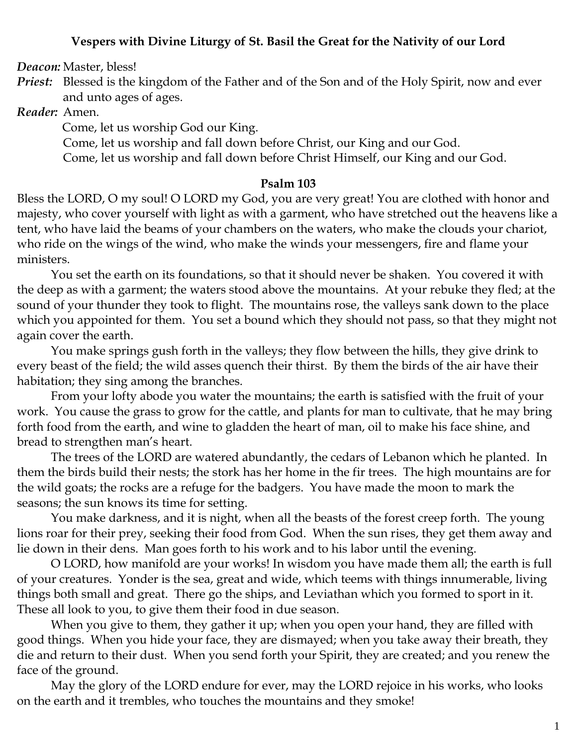#### **Vespers with Divine Liturgy of St. Basil the Great for the Nativity of our Lord**

*Deacon:* Master, bless!

*Priest:* Blessed is the kingdom of the Father and of the Son and of the Holy Spirit, now and ever and unto ages of ages.

*Reader:* Amen.

Come, let us worship God our King.

Come, let us worship and fall down before Christ, our King and our God.

Come, let us worship and fall down before Christ Himself, our King and our God.

#### **Psalm 103**

Bless the LORD, O my soul! O LORD my God, you are very great! You are clothed with honor and majesty, who cover yourself with light as with a garment, who have stretched out the heavens like a tent, who have laid the beams of your chambers on the waters, who make the clouds your chariot, who ride on the wings of the wind, who make the winds your messengers, fire and flame your ministers.

You set the earth on its foundations, so that it should never be shaken. You covered it with the deep as with a garment; the waters stood above the mountains. At your rebuke they fled; at the sound of your thunder they took to flight. The mountains rose, the valleys sank down to the place which you appointed for them. You set a bound which they should not pass, so that they might not again cover the earth.

You make springs gush forth in the valleys; they flow between the hills, they give drink to every beast of the field; the wild asses quench their thirst. By them the birds of the air have their habitation; they sing among the branches.

From your lofty abode you water the mountains; the earth is satisfied with the fruit of your work. You cause the grass to grow for the cattle, and plants for man to cultivate, that he may bring forth food from the earth, and wine to gladden the heart of man, oil to make his face shine, and bread to strengthen man's heart.

The trees of the LORD are watered abundantly, the cedars of Lebanon which he planted. In them the birds build their nests; the stork has her home in the fir trees. The high mountains are for the wild goats; the rocks are a refuge for the badgers. You have made the moon to mark the seasons; the sun knows its time for setting.

You make darkness, and it is night, when all the beasts of the forest creep forth. The young lions roar for their prey, seeking their food from God. When the sun rises, they get them away and lie down in their dens. Man goes forth to his work and to his labor until the evening.

O LORD, how manifold are your works! In wisdom you have made them all; the earth is full of your creatures. Yonder is the sea, great and wide, which teems with things innumerable, living things both small and great. There go the ships, and Leviathan which you formed to sport in it. These all look to you, to give them their food in due season.

When you give to them, they gather it up; when you open your hand, they are filled with good things. When you hide your face, they are dismayed; when you take away their breath, they die and return to their dust. When you send forth your Spirit, they are created; and you renew the face of the ground.

May the glory of the LORD endure for ever, may the LORD rejoice in his works, who looks on the earth and it trembles, who touches the mountains and they smoke!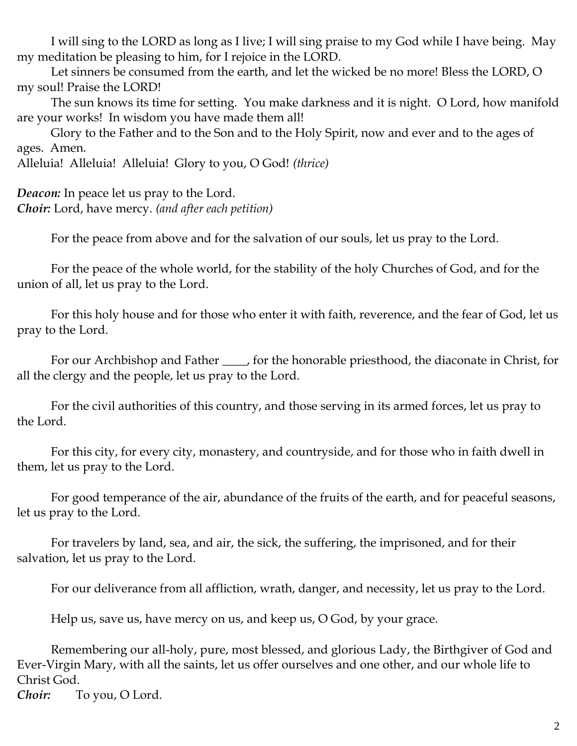I will sing to the LORD as long as I live; I will sing praise to my God while I have being. May my meditation be pleasing to him, for I rejoice in the LORD.

Let sinners be consumed from the earth, and let the wicked be no more! Bless the LORD, O my soul! Praise the LORD!

The sun knows its time for setting. You make darkness and it is night. O Lord, how manifold are your works! In wisdom you have made them all!

Glory to the Father and to the Son and to the Holy Spirit, now and ever and to the ages of ages. Amen.

Alleluia! Alleluia! Alleluia! Glory to you, O God! *(thrice)*

*Deacon:* In peace let us pray to the Lord. *Choir:* Lord, have mercy. *(and after each petition)*

For the peace from above and for the salvation of our souls, let us pray to the Lord.

For the peace of the whole world, for the stability of the holy Churches of God, and for the union of all, let us pray to the Lord.

For this holy house and for those who enter it with faith, reverence, and the fear of God, let us pray to the Lord.

For our Archbishop and Father \_\_\_\_, for the honorable priesthood, the diaconate in Christ, for all the clergy and the people, let us pray to the Lord.

For the civil authorities of this country, and those serving in its armed forces, let us pray to the Lord.

For this city, for every city, monastery, and countryside, and for those who in faith dwell in them, let us pray to the Lord.

For good temperance of the air, abundance of the fruits of the earth, and for peaceful seasons, let us pray to the Lord.

For travelers by land, sea, and air, the sick, the suffering, the imprisoned, and for their salvation, let us pray to the Lord.

For our deliverance from all affliction, wrath, danger, and necessity, let us pray to the Lord.

Help us, save us, have mercy on us, and keep us, O God, by your grace.

Remembering our all-holy, pure, most blessed, and glorious Lady, the Birthgiver of God and Ever-Virgin Mary, with all the saints, let us offer ourselves and one other, and our whole life to Christ God.

*Choir:* To you, O Lord.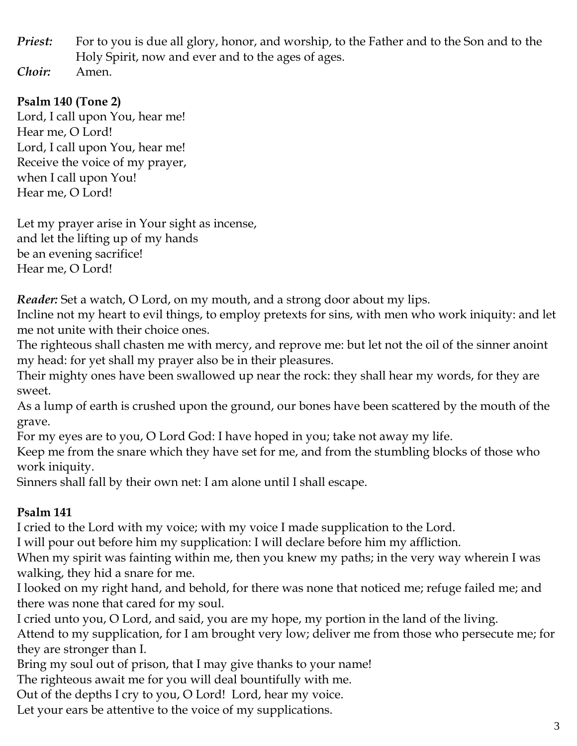*Priest:* For to you is due all glory, honor, and worship, to the Father and to the Son and to the Holy Spirit, now and ever and to the ages of ages. *Choir:* Amen.

### **Psalm 140 (Tone 2)**

Lord, I call upon You, hear me! Hear me, O Lord! Lord, I call upon You, hear me! Receive the voice of my prayer, when I call upon You! Hear me, O Lord!

Let my prayer arise in Your sight as incense, and let the lifting up of my hands be an evening sacrifice! Hear me, O Lord!

*Reader:* Set a watch, O Lord, on my mouth, and a strong door about my lips.

Incline not my heart to evil things, to employ pretexts for sins, with men who work iniquity: and let me not unite with their choice ones.

The righteous shall chasten me with mercy, and reprove me: but let not the oil of the sinner anoint my head: for yet shall my prayer also be in their pleasures.

Their mighty ones have been swallowed up near the rock: they shall hear my words, for they are sweet.

As a lump of earth is crushed upon the ground, our bones have been scattered by the mouth of the grave.

For my eyes are to you, O Lord God: I have hoped in you; take not away my life.

Keep me from the snare which they have set for me, and from the stumbling blocks of those who work iniquity.

Sinners shall fall by their own net: I am alone until I shall escape.

## **Psalm 141**

I cried to the Lord with my voice; with my voice I made supplication to the Lord.

I will pour out before him my supplication: I will declare before him my affliction.

When my spirit was fainting within me, then you knew my paths; in the very way wherein I was walking, they hid a snare for me.

I looked on my right hand, and behold, for there was none that noticed me; refuge failed me; and there was none that cared for my soul.

I cried unto you, O Lord, and said, you are my hope, my portion in the land of the living.

Attend to my supplication, for I am brought very low; deliver me from those who persecute me; for they are stronger than I.

Bring my soul out of prison, that I may give thanks to your name!

The righteous await me for you will deal bountifully with me.

Out of the depths I cry to you, O Lord! Lord, hear my voice.

Let your ears be attentive to the voice of my supplications.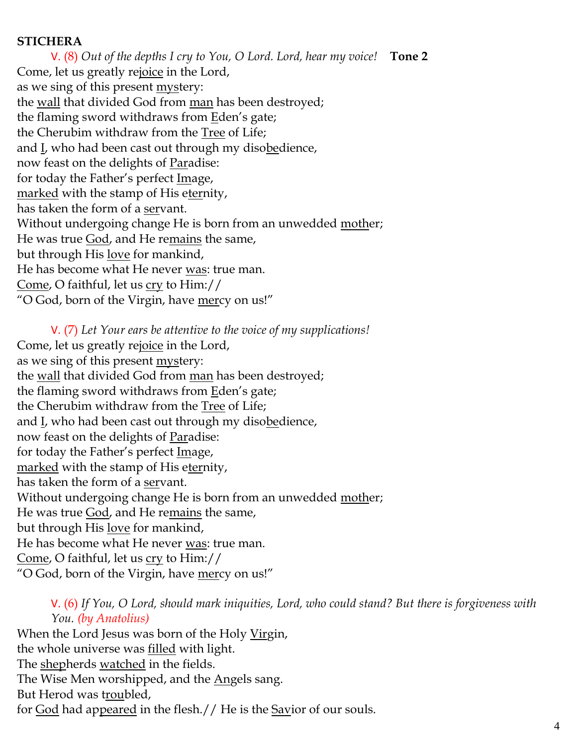#### **STICHERA**

V. (8) *Out of the depths I cry to You, O Lord. Lord, hear my voice!* **Tone 2** Come, let us greatly rejoice in the Lord, as we sing of this present <u>mystery</u>: the <u>wall</u> that divided God from man has been destroyed; the flaming sword withdraws from **Eden's** gate; the Cherubim withdraw from the Tree of Life; and I, who had been cast out through my disobedience, now feast on the delights of Paradise: for today the Father's perfect Image, marked with the stamp of His eternity, has taken the form of a servant. Without undergoing change He is born from an unwedded mother; He was true God, and He remains the same, but through His love for mankind, He has become what He never was: true man. Come, O faithful, let us cry to Him:// "O God, born of the Virgin, have mercy on us!"

V. (7) *Let Your ears be attentive to the voice of my supplications!* Come, let us greatly rejoice in the Lord, as we sing of this present mystery: the <u>wall</u> that divided God from man has been destroyed; the flaming sword withdraws from Eden's gate; the Cherubim withdraw from the Tree of Life; and L, who had been cast out through my disobedience, now feast on the delights of Paradise: for today the Father's perfect Image, marked with the stamp of His eternity, has taken the form of a servant. Without undergoing change He is born from an unwedded mother; He was true God, and He remains the same, but through His love for mankind, He has become what He never was: true man. Come, O faithful, let us cry to Him:// "O God, born of the Virgin, have <u>mer</u>cy on us!"

V. (6) *If You, O Lord, should mark iniquities, Lord, who could stand? But there is forgiveness with You. (by Anatolius)*

When the Lord Jesus was born of the Holy Virgin, the whole universe was filled with light. The shepherds watched in the fields. The Wise Men worshipped, and the Angels sang. But Herod was troubled, for God had appeared in the flesh.// He is the Savior of our souls.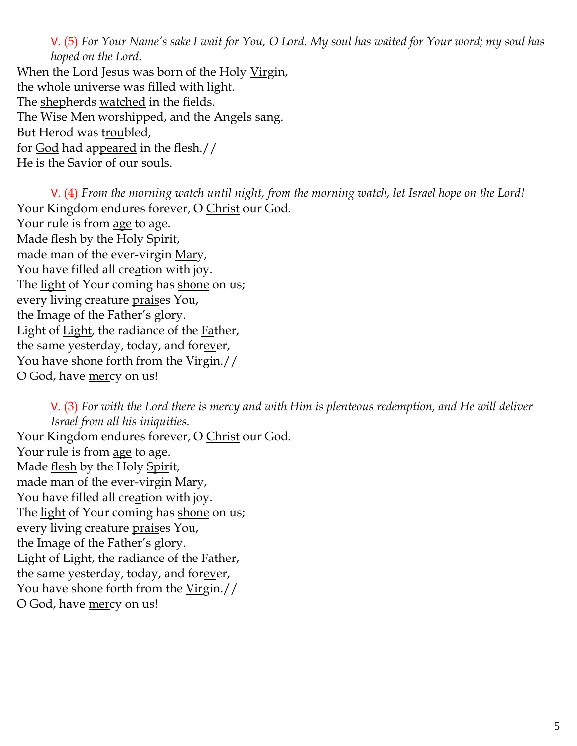V. (5) *For Your Name's sake I wait for You, O Lord. My soul has waited for Your word; my soul has hoped on the Lord.* 

When the Lord Jesus was born of the Holy Virgin, the whole universe was <u>filled</u> with light. The shepherds watched in the fields. The Wise Men worshipped, and the <u>Ang</u>els sang. But Herod was troubled, for God had appeared in the flesh.// He is the Savior of our souls.

V. (4) *From the morning watch until night, from the morning watch, let Israel hope on the Lord!*  Your Kingdom endures forever, O Christ our God. Your rule is from age to age. Made flesh by the Holy Spirit, made man of the ever-virgin Mary, You have filled all creation with joy. The light of Your coming has shone on us; every living creature praises You, the Image of the Father's glory. Light of Light, the radiance of the Father, the same yesterday, today, and forgiven, You have shone forth from the Virgin.// O God, have mercy on us!

V. (3) *For with the Lord there is mercy and with Him is plenteous redemption, and He will deliver Israel from all his iniquities.* Your Kingdom endures forever, O Christ our God. Your rule is from age to age. Made <u>flesh</u> by the Holy Spirit, made man of the ever-virgin Mary, You have filled all creation with joy. The light of Your coming has shone on us; every living creature praises You, the Image of the Father's glory. Light of Light, the radiance of the Father, the same yesterday, today, and forever, You have shone forth from the <u>Virg</u>in.// O God, have mercy on us!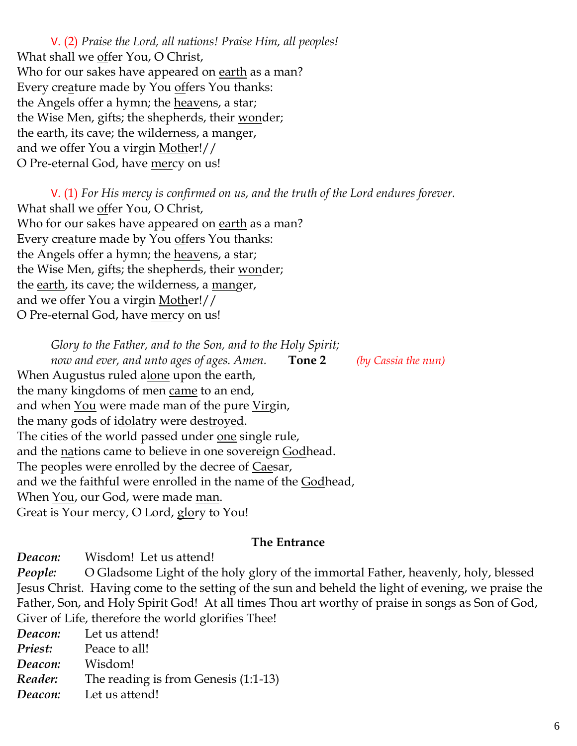V. (2) *Praise the Lord, all nations! Praise Him, all peoples!* What shall we offer You, O Christ, Who for our sakes have appeared on earth as a man? Every creature made by You offers You thanks: the Angels offer a hymn; the <u>heav</u>ens, a star; the Wise Men, gifts; the shepherds, their wonder; the earth, its cave; the wilderness, a manger, and we offer You a virgin Mother!// O Pre-eternal God, have <u>mer</u>cy on us!

V. (1) *For His mercy is confirmed on us, and the truth of the Lord endures forever.*  What shall we offer You, O Christ, Who for our sakes have appeared on earth as a man? Every creature made by You offers You thanks: the Angels offer a hymn; the heavens, a star; the Wise Men, gifts; the shepherds, their wonder; the earth, its cave; the wilderness, a manger, and we offer You a virgin Mother!// O Pre-eternal God, have mercy on us!

*Glory to the Father, and to the Son, and to the Holy Spirit; now and ever, and unto ages of ages. Amen.* **Tone 2** *(by Cassia the nun)* When Augustus ruled alone upon the earth, the many kingdoms of men came to an end, and when <u>You</u> were made man of the pure Virgin, the many gods of idolatry were destroyed. The cities of the world passed under one single rule, and the <u>na</u>tions came to believe in one sovereign Godhead. The peoples were enrolled by the decree of Caesar, and we the faithful were enrolled in the name of the Godhead, When You, our God, were made man. Great is Your mercy, O Lord, glory to You!

#### **The Entrance**

*Deacon:* Wisdom! Let us attend! *People:* O Gladsome Light of the holy glory of the immortal Father, heavenly, holy, blessed Jesus Christ. Having come to the setting of the sun and beheld the light of evening, we praise the Father, Son, and Holy Spirit God! At all times Thou art worthy of praise in songs as Son of God, Giver of Life, therefore the world glorifies Thee!

*Deacon:* Let us attend! *Priest:* Peace to all! *Deacon:* Wisdom! *Reader:* The reading is from Genesis (1:1-13) *Deacon:* Let us attend!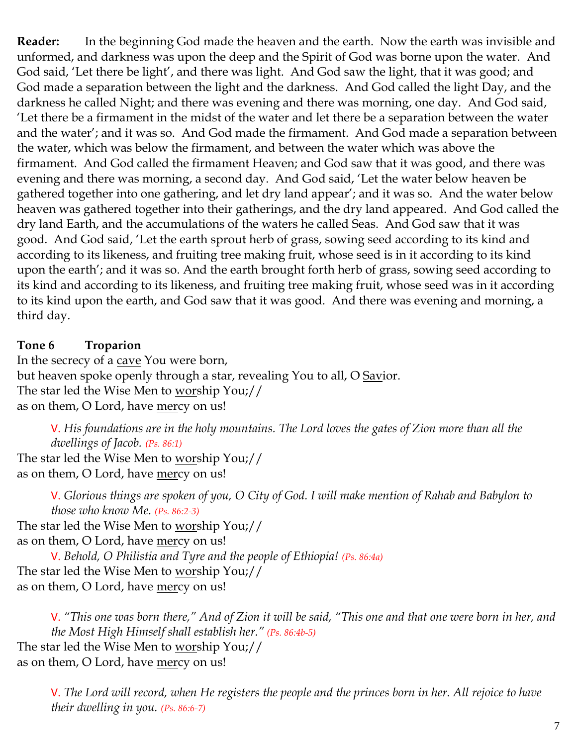**Reader:** In the beginning God made the heaven and the earth. Now the earth was invisible and unformed, and darkness was upon the deep and the Spirit of God was borne upon the water. And God said, 'Let there be light', and there was light. And God saw the light, that it was good; and God made a separation between the light and the darkness. And God called the light Day, and the darkness he called Night; and there was evening and there was morning, one day. And God said, 'Let there be a firmament in the midst of the water and let there be a separation between the water and the water'; and it was so. And God made the firmament. And God made a separation between the water, which was below the firmament, and between the water which was above the firmament. And God called the firmament Heaven; and God saw that it was good, and there was evening and there was morning, a second day. And God said, 'Let the water below heaven be gathered together into one gathering, and let dry land appear'; and it was so. And the water below heaven was gathered together into their gatherings, and the dry land appeared. And God called the dry land Earth, and the accumulations of the waters he called Seas. And God saw that it was good. And God said, 'Let the earth sprout herb of grass, sowing seed according to its kind and according to its likeness, and fruiting tree making fruit, whose seed is in it according to its kind upon the earth'; and it was so. And the earth brought forth herb of grass, sowing seed according to its kind and according to its likeness, and fruiting tree making fruit, whose seed was in it according to its kind upon the earth, and God saw that it was good. And there was evening and morning, a third day.

#### **Tone 6 Troparion**

In the secrecy of a cave You were born, but heaven spoke openly through a star, revealing You to all, O Savior. The star led the Wise Men to worship You;// as on them, O Lord, have mercy on us!

V. *His foundations are in the holy mountains. The Lord loves the gates of Zion more than all the dwellings of Jacob. (Ps. 86:1)*

The star led the Wise Men to worship You;// as on them, O Lord, have mercy on us!

> V. *Glorious things are spoken of you, O City of God. I will make mention of Rahab and Babylon to those who know Me. (Ps. 86:2-3)*

The star led the Wise Men to worship You;//

as on them, O Lord, have mercy on us!

V. *Behold, O Philistia and Tyre and the people of Ethiopia! (Ps. 86:4a)* The star led the Wise Men to worship You;// as on them, O Lord, have mercy on us!

V. *"This one was born there," And of Zion it will be said, "This one and that one were born in her, and the Most High Himself shall establish her." (Ps. 86:4b-5)* The star led the Wise Men to worship You;// as on them, O Lord, have mercy on us!

V. *The Lord will record, when He registers the people and the princes born in her. All rejoice to have their dwelling in you. (Ps. 86:6-7)*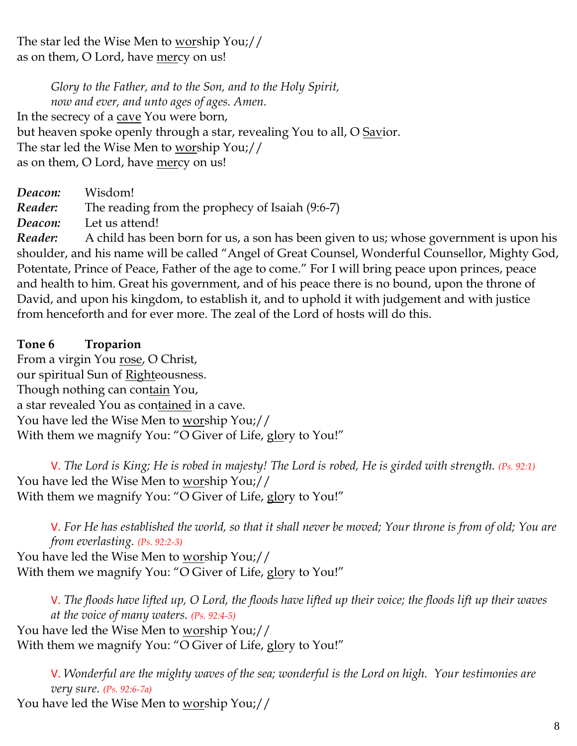The star led the Wise Men to worship You;// as on them, O Lord, have mercy on us!

*Glory to the Father, and to the Son, and to the Holy Spirit, now and ever, and unto ages of ages. Amen.*  In the secrecy of a cave You were born, but heaven spoke openly through a star, revealing You to all, O Savior. The star led the Wise Men to worship You;// as on them, O Lord, have mercy on us!

*Deacon:* Wisdom! *Reader:* The reading from the prophecy of Isaiah (9:6-7)

*Deacon:* Let us attend!

*Reader:* A child has been born for us, a son has been given to us; whose government is upon his shoulder, and his name will be called "Angel of Great Counsel, Wonderful Counsellor, Mighty God, Potentate, Prince of Peace, Father of the age to come." For I will bring peace upon princes, peace and health to him. Great his government, and of his peace there is no bound, upon the throne of David, and upon his kingdom, to establish it, and to uphold it with judgement and with justice from henceforth and for ever more. The zeal of the Lord of hosts will do this.

**Tone 6 Troparion** From a virgin You rose, O Christ, our spiritual Sun of Righteousness. Though nothing can contain You, a star revealed You as contained in a cave. You have led the Wise Men to worship You;// With them we magnify You: "O Giver of Life, glory to You!"

V. *The Lord is King; He is robed in majesty! The Lord is robed, He is girded with strength. (Ps. 92:1)* You have led the Wise Men to worship You;// With them we magnify You: "O Giver of Life, glory to You!"

V. *For He has established the world, so that it shall never be moved; Your throne is from of old; You are from everlasting. (Ps. 92:2-3)* You have led the Wise Men to worship You;// With them we magnify You: "O Giver of Life, glory to You!"

V. *The floods have lifted up, O Lord, the floods have lifted up their voice; the floods lift up their waves at the voice of many waters. (Ps. 92:4-5)* You have led the Wise Men to <u>wor</u>ship You;// With them we magnify You: "O Giver of Life, glory to You!"

V. *Wonderful are the mighty waves of the sea; wonderful is the Lord on high. Your testimonies are very sure. (Ps. 92:6-7a)*

You have led the Wise Men to worship You;//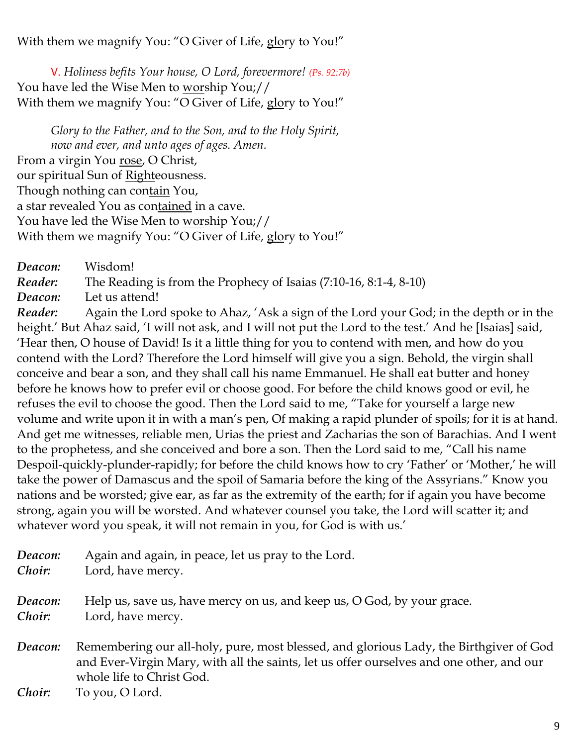With them we magnify You: "O Giver of Life, glory to You!"

V. *Holiness befits Your house, O Lord, forevermore! (Ps. 92:7b)* You have led the Wise Men to worship You;// With them we magnify You: "O Giver of Life, glory to You!"

*Glory to the Father, and to the Son, and to the Holy Spirit, now and ever, and unto ages of ages. Amen.*  From a virgin You <u>rose</u>, O Christ, our spiritual Sun of Righteousness. Though nothing can contain You, a star revealed You as con<u>tained</u> in a cave. You have led the Wise Men to <u>wor</u>ship You;// With them we magnify You: "O Giver of Life, glory to You!"

*Deacon:* Wisdom! *Reader:* The Reading is from the Prophecy of Isaias (7:10-16, 8:1-4, 8-10) *Deacon:* Let us attend!

*Reader:* Again the Lord spoke to Ahaz, 'Ask a sign of the Lord your God; in the depth or in the height.' But Ahaz said, 'I will not ask, and I will not put the Lord to the test.' And he [Isaias] said, 'Hear then, O house of David! Is it a little thing for you to contend with men, and how do you contend with the Lord? Therefore the Lord himself will give you a sign. Behold, the virgin shall conceive and bear a son, and they shall call his name Emmanuel. He shall eat butter and honey before he knows how to prefer evil or choose good. For before the child knows good or evil, he refuses the evil to choose the good. Then the Lord said to me, "Take for yourself a large new volume and write upon it in with a man's pen, Of making a rapid plunder of spoils; for it is at hand. And get me witnesses, reliable men, Urias the priest and Zacharias the son of Barachias. And I went to the prophetess, and she conceived and bore a son. Then the Lord said to me, "Call his name Despoil-quickly-plunder-rapidly; for before the child knows how to cry 'Father' or 'Mother,' he will take the power of Damascus and the spoil of Samaria before the king of the Assyrians." Know you nations and be worsted; give ear, as far as the extremity of the earth; for if again you have become strong, again you will be worsted. And whatever counsel you take, the Lord will scatter it; and whatever word you speak, it will not remain in you, for God is with us.'

| Deacon: | Again and again, in peace, let us pray to the Lord.                                                                                                                                                             |
|---------|-----------------------------------------------------------------------------------------------------------------------------------------------------------------------------------------------------------------|
| Choir:  | Lord, have mercy.                                                                                                                                                                                               |
| Deacon: | Help us, save us, have mercy on us, and keep us, O God, by your grace.                                                                                                                                          |
| Choir:  | Lord, have mercy.                                                                                                                                                                                               |
| Deacon: | Remembering our all-holy, pure, most blessed, and glorious Lady, the Birthgiver of God<br>and Ever-Virgin Mary, with all the saints, let us offer ourselves and one other, and our<br>whole life to Christ God. |

*Choir:* To you, O Lord.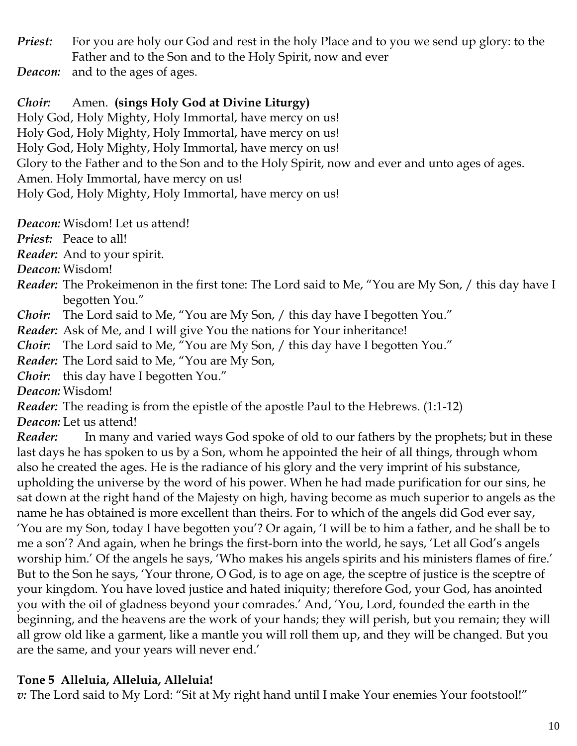*Priest:* For you are holy our God and rest in the holy Place and to you we send up glory: to the Father and to the Son and to the Holy Spirit, now and ever

*Deacon:* and to the ages of ages.

*Choir:* Amen. **(sings Holy God at Divine Liturgy)**

Holy God, Holy Mighty, Holy Immortal, have mercy on us! Holy God, Holy Mighty, Holy Immortal, have mercy on us! Holy God, Holy Mighty, Holy Immortal, have mercy on us! Glory to the Father and to the Son and to the Holy Spirit, now and ever and unto ages of ages. Amen. Holy Immortal, have mercy on us! Holy God, Holy Mighty, Holy Immortal, have mercy on us!

*Deacon:* Wisdom! Let us attend!

*Priest:* Peace to all!

*Reader:* And to your spirit.

*Deacon:* Wisdom!

*Reader:* The Prokeimenon in the first tone: The Lord said to Me, "You are My Son, / this day have I begotten You."

*Choir:* The Lord said to Me, "You are My Son, / this day have I begotten You."

*Reader:* Ask of Me, and I will give You the nations for Your inheritance!

*Choir:* The Lord said to Me, "You are My Son, / this day have I begotten You."

*Reader:* The Lord said to Me, "You are My Son,

*Choir:* this day have I begotten You."

*Deacon:* Wisdom!

*Reader:* The reading is from the epistle of the apostle Paul to the Hebrews. (1:1-12)

*Deacon:* Let us attend!

*Reader:* In many and varied ways God spoke of old to our fathers by the prophets; but in these last days he has spoken to us by a Son, whom he appointed the heir of all things, through whom also he created the ages. He is the radiance of his glory and the very imprint of his substance, upholding the universe by the word of his power. When he had made purification for our sins, he sat down at the right hand of the Majesty on high, having become as much superior to angels as the name he has obtained is more excellent than theirs. For to which of the angels did God ever say, 'You are my Son, today I have begotten you'? Or again, 'I will be to him a father, and he shall be to me a son'? And again, when he brings the first-born into the world, he says, 'Let all God's angels worship him.' Of the angels he says, 'Who makes his angels spirits and his ministers flames of fire.' But to the Son he says, 'Your throne, O God, is to age on age, the sceptre of justice is the sceptre of your kingdom. You have loved justice and hated iniquity; therefore God, your God, has anointed you with the oil of gladness beyond your comrades.' And, 'You, Lord, founded the earth in the beginning, and the heavens are the work of your hands; they will perish, but you remain; they will all grow old like a garment, like a mantle you will roll them up, and they will be changed. But you are the same, and your years will never end.'

## **Tone 5 Alleluia, Alleluia, Alleluia!**

*v:* The Lord said to My Lord: "Sit at My right hand until I make Your enemies Your footstool!"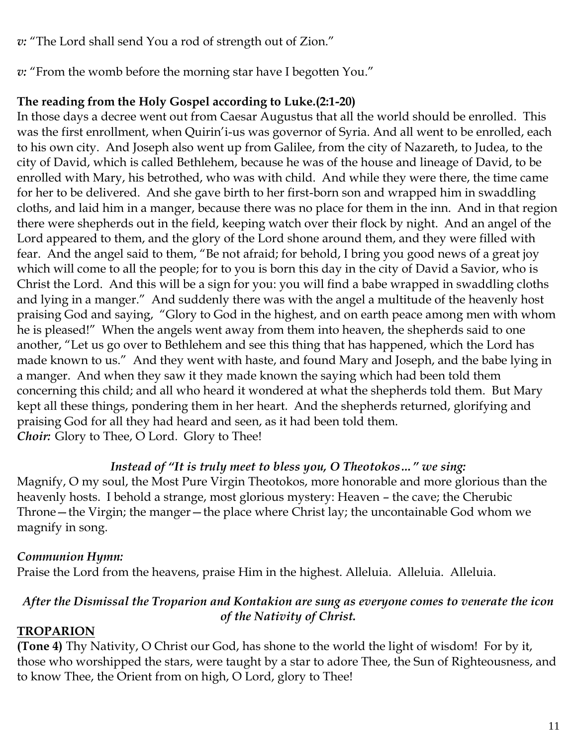*v:* "The Lord shall send You a rod of strength out of Zion."

*v:* "From the womb before the morning star have I begotten You."

## **The reading from the Holy Gospel according to Luke.(2:1-20)**

In those days a decree went out from Caesar Augustus that all the world should be enrolled. This was the first enrollment, when Quirin'i-us was governor of Syria. And all went to be enrolled, each to his own city. And Joseph also went up from Galilee, from the city of Nazareth, to Judea, to the city of David, which is called Bethlehem, because he was of the house and lineage of David, to be enrolled with Mary, his betrothed, who was with child. And while they were there, the time came for her to be delivered. And she gave birth to her first-born son and wrapped him in swaddling cloths, and laid him in a manger, because there was no place for them in the inn. And in that region there were shepherds out in the field, keeping watch over their flock by night. And an angel of the Lord appeared to them, and the glory of the Lord shone around them, and they were filled with fear. And the angel said to them, "Be not afraid; for behold, I bring you good news of a great joy which will come to all the people; for to you is born this day in the city of David a Savior, who is Christ the Lord. And this will be a sign for you: you will find a babe wrapped in swaddling cloths and lying in a manger." And suddenly there was with the angel a multitude of the heavenly host praising God and saying, "Glory to God in the highest, and on earth peace among men with whom he is pleased!" When the angels went away from them into heaven, the shepherds said to one another, "Let us go over to Bethlehem and see this thing that has happened, which the Lord has made known to us." And they went with haste, and found Mary and Joseph, and the babe lying in a manger. And when they saw it they made known the saying which had been told them concerning this child; and all who heard it wondered at what the shepherds told them. But Mary kept all these things, pondering them in her heart. And the shepherds returned, glorifying and praising God for all they had heard and seen, as it had been told them. *Choir:* Glory to Thee, O Lord. Glory to Thee!

## *Instead of "It is truly meet to bless you, O Theotokos…" we sing:*

Magnify, O my soul, the Most Pure Virgin Theotokos, more honorable and more glorious than the heavenly hosts. I behold a strange, most glorious mystery: Heaven – the cave; the Cherubic Throne—the Virgin; the manger—the place where Christ lay; the uncontainable God whom we magnify in song.

# *Communion Hymn:*

Praise the Lord from the heavens, praise Him in the highest. Alleluia. Alleluia. Alleluia.

### *After the Dismissal the Troparion and Kontakion are sung as everyone comes to venerate the icon of the Nativity of Christ.*

# **TROPARION**

**(Tone 4)** Thy Nativity, O Christ our God, has shone to the world the light of wisdom! For by it, those who worshipped the stars, were taught by a star to adore Thee, the Sun of Righteousness, and to know Thee, the Orient from on high, O Lord, glory to Thee!